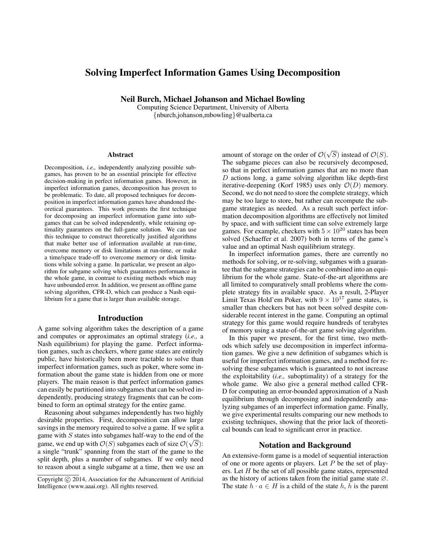# Solving Imperfect Information Games Using Decomposition

Neil Burch, Michael Johanson and Michael Bowling

Computing Science Department, University of Alberta {nburch,johanson,mbowling}@ualberta.ca

#### Abstract

Decomposition, *i.e.,* independently analyzing possible subgames, has proven to be an essential principle for effective decision-making in perfect information games. However, in imperfect information games, decomposition has proven to be problematic. To date, all proposed techniques for decomposition in imperfect information games have abandoned theoretical guarantees. This work presents the first technique for decomposing an imperfect information game into subgames that can be solved independently, while retaining optimality guarantees on the full-game solution. We can use this technique to construct theoretically justified algorithms that make better use of information available at run-time, overcome memory or disk limitations at run-time, or make a time/space trade-off to overcome memory or disk limitations while solving a game. In particular, we present an algorithm for subgame solving which guarantees performance in the whole game, in contrast to existing methods which may have unbounded error. In addition, we present an offline game solving algorithm, CFR-D, which can produce a Nash equilibrium for a game that is larger than available storage.

# Introduction

A game solving algorithm takes the description of a game and computes or approximates an optimal strategy (*i.e.,* a Nash equilibrium) for playing the game. Perfect information games, such as checkers, where game states are entirely public, have historically been more tractable to solve than imperfect information games, such as poker, where some information about the game state is hidden from one or more players. The main reason is that perfect information games can easily be partitioned into subgames that can be solved independently, producing strategy fragments that can be combined to form an optimal strategy for the entire game.

Reasoning about subgames independently has two highly desirable properties. First, decomposition can allow large savings in the memory required to solve a game. If we split a game with S states into subgames half-way to the end of the game, we end up with  $\mathcal{O}(S)$  subgames each of size  $\mathcal{O}(\sqrt{S})$ : a single "trunk" spanning from the start of the game to the split depth, plus a number of subgames. If we only need to reason about a single subgame at a time, then we use an

amount of storage on the order of  $\mathcal{O}(\mathcal{O})$ √ S) instead of  $\mathcal{O}(S)$ . The subgame pieces can also be recursively decomposed, so that in perfect information games that are no more than  $D$  actions long, a game solving algorithm like depth-first iterative-deepening (Korf 1985) uses only  $\mathcal{O}(D)$  memory. Second, we do not need to store the complete strategy, which may be too large to store, but rather can recompute the subgame strategies as needed. As a result such perfect information decomposition algorithms are effectively not limited by space, and with sufficient time can solve extremely large games. For example, checkers with  $5 \times 10^{20}$  states has been solved (Schaeffer et al. 2007) both in terms of the game's value and an optimal Nash equilibrium strategy.

In imperfect information games, there are currently no methods for solving, or re-solving, subgames with a guarantee that the subgame strategies can be combined into an equilibrium for the whole game. State-of-the-art algorithms are all limited to comparatively small problems where the complete strategy fits in available space. As a result, 2-Player Limit Texas Hold'em Poker, with  $9 \times 10^{17}$  game states, is smaller than checkers but has not been solved despite considerable recent interest in the game. Computing an optimal strategy for this game would require hundreds of terabytes of memory using a state-of-the-art game solving algorithm.

In this paper we present, for the first time, two methods which safely use decomposition in imperfect information games. We give a new definition of subgames which is useful for imperfect information games, and a method for resolving these subgames which is guaranteed to not increase the exploitability (*i.e.,* suboptimality) of a strategy for the whole game. We also give a general method called CFR-D for computing an error-bounded approximation of a Nash equilibrium through decomposing and independently analyzing subgames of an imperfect information game. Finally, we give experimental results comparing our new methods to existing techniques, showing that the prior lack of theoretical bounds can lead to significant error in practice.

# Notation and Background

An extensive-form game is a model of sequential interaction of one or more agents or players. Let  $P$  be the set of players. Let  $H$  be the set of all possible game states, represented as the history of actions taken from the initial game state ∅. The state  $h \cdot a \in H$  is a child of the state h, h is the parent

Copyright (c) 2014, Association for the Advancement of Artificial Intelligence (www.aaai.org). All rights reserved.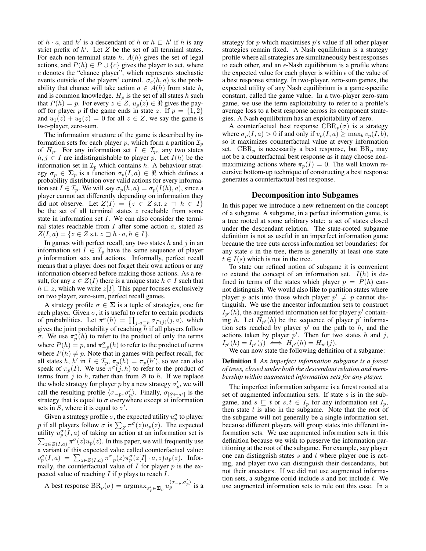of  $h \cdot a$ , and  $h'$  is a descendant of h or  $h \subset h'$  if h is any strict prefix of  $h'$ . Let  $Z$  be the set of all terminal states. For each non-terminal state  $h$ ,  $A(h)$  gives the set of legal actions, and  $P(h) \in P \cup \{c\}$  gives the player to act, where c denotes the "chance player", which represents stochastic events outside of the players' control.  $\sigma_c(h, a)$  is the probability that chance will take action  $a \in A(h)$  from state h, and is common knowledge.  $H_p$  is the set of all states h such that  $P(h) = p$ . For every  $z \in Z$ ,  $u_p(z) \in \Re$  gives the payoff for player p if the game ends in state z. If  $p = \{1, 2\}$ and  $u_1(z) + u_2(z) = 0$  for all  $z \in Z$ , we say the game is two-player, zero-sum.

The information structure of the game is described by information sets for each player p, which form a partition  $\mathcal{I}_p$ of  $H_p$ . For any information set  $I \in \mathcal{I}_p$ , any two states  $h, j \in I$  are indistinguishable to player p. Let  $I(h)$  be the information set in  $\mathcal{I}_p$  which contains h. A behaviour strategy  $\sigma_p \in \Sigma_p$  is a function  $\sigma_p(I, a) \in \Re$  which defines a probability distribution over valid actions for every information set  $I \in \mathcal{I}_p$ . We will say  $\sigma_p(h, a) = \sigma_p(I(h), a)$ , since a player cannot act differently depending on information they did not observe. Let  $Z(I) = \{z \in Z \text{ s.t. } z \supseteq h \in I\}$ be the set of all terminal states  $z$  reachable from some state in information set I. We can also consider the terminal states reachable from  $I$  after some action  $a$ , stated as  $Z(I, a) = \{z \in Z \text{ s.t. } z \sqsupset h \cdot a, h \in I\}.$ 

In games with perfect recall, any two states  $h$  and  $j$  in an information set  $I \in \mathcal{I}_p$  have the same sequence of player p information sets and actions. Informally, perfect recall means that a player does not forget their own actions or any information observed before making those actions. As a result, for any  $z \in Z(I)$  there is a unique state  $h \in I$  such that  $h \sqsubset z$ , which we write  $z[I]$ . This paper focuses exclusively on two player, zero-sum, perfect recall games.

A strategy profile  $\sigma \in \Sigma$  is a tuple of strategies, one for each player. Given  $\sigma$ , it is useful to refer to certain products of probabilities. Let  $\pi^{\sigma}(h) = \prod_{j \cdot a \sqsubseteq h} \sigma_{P(j)}(j, a)$ , which gives the joint probability of reaching  $\bar{h}$  if all players follow σ. We use  $\pi_p^{\sigma}(h)$  to refer to the product of only the terms where  $P(h) = p$ , and  $\pi_{-p}^{\sigma}(h)$  to refer to the product of terms where  $P(h) \neq p$ . Note that in games with perfect recall, for all states h, h' in  $I \in \mathcal{I}_p$ ,  $\pi_p(h) = \pi_p(h')$ , so we can also speak of  $\pi_p(I)$ . We use  $\pi^{\sigma}(j, h)$  to refer to the product of terms from j to h, rather than from  $\varnothing$  to h. If we replace the whole strategy for player p by a new strategy  $\sigma_p'$ , we will call the resulting profile  $\langle \sigma_{-p}, \sigma'_{p} \rangle$ . Finally,  $\sigma_{[S \leftarrow \sigma']}$  is the strategy that is equal to  $\sigma$  everywhere except at information sets in S, where it is equal to  $\sigma'$ .

Given a strategy profile  $\sigma$ , the expected utility  $u_p^{\sigma}$  to player p if all players follow  $\sigma$  is  $\sum_{Z} \pi^{\sigma}(z) u_{p}(z)$ . The expected utility  $u_p^{\sigma}(I, a)$  of taking an action at an information set is  $\sum_{z \in Z(I,a)} \pi^{\sigma}(z) u_p(z)$ . In this paper, we will frequently use a variant of this expected value called counterfactual value:  $v_p^{\sigma}(I,a) = \sum_{z \in Z(I,a)} \pi_{-p}^{\sigma}(z) \pi_p^{\sigma}(z[I] \cdot a, z) u_p(z)$ . Informally, the counterfactual value of  $I$  for player  $p$  is the expected value of reaching  $I$  if  $p$  plays to reach  $I$ .

A best response 
$$
BR_p(\sigma) = \operatorname{argmax}_{\sigma'_p \in \Sigma_p} u_p^{\langle \sigma_{-p}, \sigma'_p \rangle}
$$
 is a

strategy for  $p$  which maximises  $p$ 's value if all other player strategies remain fixed. A Nash equilibrium is a strategy profile where all strategies are simultaneously best responses to each other, and an  $\epsilon$ -Nash equilibrium is a profile where the expected value for each player is within  $\epsilon$  of the value of a best response strategy. In two-player, zero-sum games, the expected utility of any Nash equilibrium is a game-specific constant, called the game value. In a two-player zero-sum game, we use the term exploitability to refer to a profile's average loss to a best response across its component strategies. A Nash equilibrium has an exploitability of zero.

A counterfactual best response  $CBR_p(\sigma)$  is a strategy where  $\sigma_p(I, a) > 0$  if and only if  $v_p(I, a) \ge \max_b v_p(I, b)$ , so it maximizes counterfactual value at every information set. CBR<sub>p</sub> is necessarily a best response, but BR<sub>p</sub> may not be a counterfactual best response as it may choose nonmaximizing actions where  $\pi_p(I) = 0$ . The well known recursive bottom-up technique of constructing a best response generates a counterfactual best response.

### Decomposition into Subgames

In this paper we introduce a new refinement on the concept of a subgame. A subgame, in a perfect information game, is a tree rooted at some arbitrary state: a set of states closed under the descendant relation. The state-rooted subgame definition is not as useful in an imperfect information game because the tree cuts across information set boundaries: for any state  $s$  in the tree, there is generally at least one state  $t \in I(s)$  which is not in the tree.

To state our refined notion of subgame it is convenient to extend the concept of an information set.  $I(h)$  is defined in terms of the states which player  $p = P(h)$  cannot distinguish. We would also like to partition states where player p acts into those which player  $p' \neq p$  cannot distinguish. We use the ancestor information sets to construct  $I_{p}(h)$ , the augmented information set for player p' containing h. Let  $H_{p'}(h)$  be the sequence of player p' information sets reached by player  $p'$  on the path to h, and the actions taken by player  $p'$ . Then for two states h and j,  $I_{p'}(h) = I_{p'}(j) \iff H_{p'}(h) = H_{p'}(j).$ 

We can now state the following definition of a subgame:

Definition 1 *An imperfect information subgame is a forest of trees, closed under both the descendant relation and membership within augmented information sets for any player.*

The imperfect information subgame is a forest rooted at a set of augmented information sets. If state s is in the subgame, and  $s \subseteq t$  or  $s, t \in I_p$  for any information set  $I_p$ , then state  $t$  is also in the subgame. Note that the root of the subgame will not generally be a single information set, because different players will group states into different information sets. We use augmented information sets in this definition because we wish to preserve the information partitioning at the root of the subgame. For example, say player one can distinguish states  $s$  and  $t$  where player one is acting, and player two can distinguish their descendants, but not their ancestors. If we did not use augmented information sets, a subgame could include  $s$  and not include  $t$ . We use augmented information sets to rule out this case. In a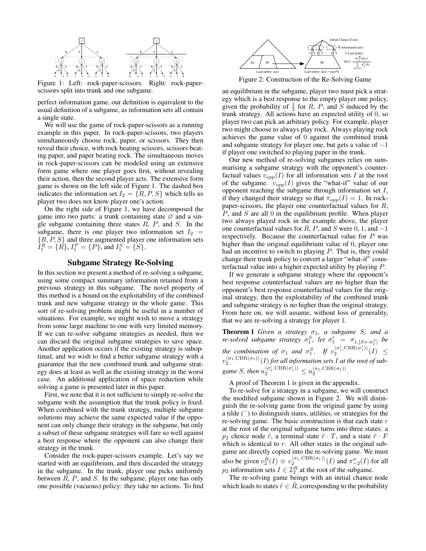

Figure 1: Left: rock-paper-scissors. Right: rock-paperscissors split into trunk and one subgame.

perfect information game, our definition is equivalent to the usual definition of a subgame, as information sets all contain a single state.

We will use the game of rock-paper-scissors as a running example in this paper. In rock-paper-scissors, two players simultaneously choose rock, paper, or scissors. They then reveal their choice, with rock beating scissors, scissors beating paper, and paper beating rock. The simultaneous moves in rock-paper-scissors can be modeled using an extensive form game where one player goes first, without revealing their action, then the second player acts. The extensive form game is shown on the left side of Figure 1. The dashed box indicates the information set  $I_2 = \{R, P, S\}$  which tells us player two does not know player one's action.

On the right side of Figure 1, we have decomposed the game into two parts: a trunk containing state  $\varnothing$  and a single subgame containing three states  $R$ ,  $P$ , and  $S$ . In the subgame, there is one player two information set  $I_2$  =  $\{R, P, S\}$  and three augmented player one information sets  $\tilde{I}_1^R = \{R\}, I_1^P = \{P\}, \text{and } I_1^S = \{S\}.$ 

# Subgame Strategy Re-Solving

In this section we present a method of re-solving a subgame, using some compact summary information retained from a previous strategy in this subgame. The novel property of this method is a bound on the exploitability of the combined trunk and new subgame strategy in the whole game. This sort of re-solving problem might be useful in a number of situations. For example, we might wish to move a strategy from some large machine to one with very limited memory. If we can re-solve subgame strategies as needed, then we can discard the original subgame strategies to save space. Another application occurs if the existing strategy is suboptimal, and we wish to find a better subgame strategy with a guarantee that the new combined trunk and subgame strategy does at least as well as the existing strategy in the worst case. An additional application of space reduction while solving a game is presented later in this paper.

First, we note that it is not sufficient to simply re-solve the subgame with the assumption that the trunk policy is fixed. When combined with the trunk strategy, multiple subgame solutions may achieve the same expected value if the opponent can only change their strategy in the subgame, but only a subset of these subgame strategies will fare so well against a best response where the opponent can also change their strategy in the trunk.

Consider the rock-paper-scissors example. Let's say we started with an equilibrium, and then discarded the strategy in the subgame. In the trunk, player one picks uniformly between  $R$ ,  $P$ , and  $S$ . In the subgame, player one has only one possible (vacuous) policy: they take no actions. To find



Figure 2: Construction of the Re-Solving Game

an equilibrium in the subgame, player two must pick a strategy which is a best response to the empty player one policy, given the probability of  $\frac{1}{3}$  for R, P, and S induced by the trunk strategy. All actions have an expected utility of 0, so player two can pick an arbitrary policy. For example, player two might choose to always play rock. Always playing rock achieves the game value of 0 against the combined trunk and subgame strategy for player one, but gets a value of  $-1$ if player one switched to playing paper in the trunk.

Our new method of re-solving subgames relies on summarising a subgame strategy with the opponent's counterfactual values  $v_{opp}(I)$  for all information sets I at the root of the subgame.  $v_{opp}(I)$  gives the "what-if" value of our opponent reaching the subgame through information set I, if they changed their strategy so that  $\pi_{opp}(I) = 1$ . In rockpaper-scissors, the player one counterfactual values for R,  $P$ , and  $S$  are all  $0$  in the equilibrium profile. When player two always played rock in the example above, the player one counterfactual values for  $R$ ,  $P$ , and  $S$  were 0, 1, and  $-1$ respectively. Because the counterfactual value for  $P$  was higher than the original equilibrium value of 0, player one had an incentive to switch to playing P. That is, they could change their trunk policy to convert a larger "what-if" counterfactual value into a higher expected utility by playing P.

If we generate a subgame strategy where the opponent's best response counterfactual values are no higher than the opponent's best response counterfactual values for the original strategy, then the exploitability of the combined trunk and subgame strategy is no higher than the original strategy. From here on, we will assume, without loss of generality, that we are re-solving a strategy for player 1.

**Theorem 1** *Given a strategy*  $σ_1$ *, a subgame S, and a re-solved subgame strategy*  $\sigma_1^S$ , *let*  $\sigma_1' = \sigma_{1,[S \leftarrow \sigma_1^S]}$  *be the combination of*  $\sigma_1$  *and*  $\sigma_1^S$ *. If*  $v_2^{\langle \sigma_1', \text{CBR}(\sigma_1') \rangle}$  $\frac{\binom{\sigma_1,\text{CDR}(\sigma_1)}{2}}{2}$  (*I*)  $\leq$  $v_{2}^{\langle\sigma_{1}, \mathrm{CBR}(\sigma_{1})\rangle}(I)$  for all information sets  $I$  at the root of sub*game S, then*  $u_2^{\langle \sigma'_1, \text{CBR}(\sigma'_1) \rangle} \leq u_2^{\langle \sigma_1, \text{CBR}(\sigma_1) \rangle}$ .

A proof of Theorem 1 is given in the appendix.

To re-solve for a strategy in a subgame, we will construct the modified subgame shown in Figure 2. We will distinguish the re-solving game from the original game by using a tilde  $(°)$  to distinguish states, utilities, or strategies for the re-solving game. The basic construction is that each state  $r$ at the root of the original subgame turns into three states: a  $p_2$  choice node  $\tilde{r}$ , a terminal state  $\tilde{r} \cdot T$ , and a state  $\tilde{r} \cdot F$ which is identical to  $r$ . All other states in the original subgame are directly copied into the re-solving game. We must also be given  $v_2^R(I) \equiv v_2^{\langle \sigma_1, \text{CBR}(\sigma_1) \rangle} (I)$  and  $\pi_{-2}^{\sigma}(I)$  for all  $p_2$  information sets  $I \in \mathcal{I}_2^R$  at the root of the subgame.

The re-solving game beings with an initial chance node which leads to states  $\tilde{r} \in R$ , corresponding to the probability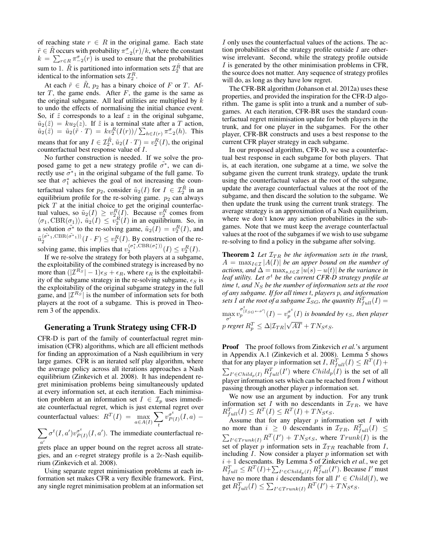of reaching state  $r \in R$  in the original game. Each state  $\tilde{r} \in \tilde{R}$  occurs with probability  $\pi_{-2}^{\sigma}(r)/k$ , where the constant  $k = \sum_{r \in R} \pi_{-2}^{\sigma}(r)$  is used to ensure that the probabilities sum to 1.  $\tilde{R}$  is partitioned into information sets  $\mathcal{I}_2^{\tilde{R}}$  that are identical to the information sets  $\mathcal{I}_2^R$ .

At each  $\tilde{r} \in R$ ,  $p_2$  has a binary choice of F or T. After  $T$ , the game ends. After  $F$ , the game is the same as the original subgame. All leaf utilities are multiplied by  $k$ to undo the effects of normalising the initial chance event. So, if  $\tilde{z}$  corresponds to a leaf  $z$  in the original subgame,  $\tilde{u}_2(\tilde{z}) = k u_2(z)$ . If  $\tilde{z}$  is a terminal state after a T action,  $\tilde{u}_2(\tilde{z}) \ = \ \tilde{u}_2(\tilde{r} \cdot T) \ = \ k v_2^R(I(r)) / \sum_{h \in I(r)} \pi_{-2}^{\sigma}(h).$  This means that for any  $I \in \mathcal{I}_2^{\tilde{R}}$ ,  $\tilde{u}_2(I \cdot T) = v_2^R(I)$ , the original counterfactual best response value of I.

No further construction is needed. If we solve the proposed game to get a new strategy profile  $\tilde{\sigma}^*$ , we can directly use  $\tilde{\sigma^*}_1$  in the original subgame of the full game. To see that  $\sigma_1^*$  achieves the goal of not increasing the counterfactual values for  $p_2$ , consider  $\tilde{u}_2(I)$  for  $I \in \mathcal{I}_2^{\tilde{R}}$  in an equilibrium profile for the re-solving game.  $p_2$  can always pick  $T$  at the initial choice to get the original counterfactual values, so  $\tilde{u}_2(I) \geq v_2^R(I)$ . Because  $v_2^R$  comes from  $\langle \sigma_1, \text{CBR}(\sigma_1) \rangle$ ,  $\tilde{u}_2(I) \leq \tilde{v}_2^R(I)$  in an equilibrium. So, in a solution  $\tilde{\sigma^*}$  to the re-solving game,  $\tilde{u}_2(I) = v_2^R(I)$ , and 2  $\tilde{u}^{\langle\tilde{\sigma^*}_1,\text{CBR}(\tilde{\sigma^*}_1)\rangle}_2(I\cdot F)\leq v^R_2(I).$  By construction of the resolving game, this implies that  $v_2^{\langle \sigma_1^*, \text{CBR}(\sigma_1^*) \rangle}$  $v_2^{(\sigma_1,\text{CBR}(\sigma_1))}(I) \leq v_2^R(I).$ 

If we re-solve the strategy for both players at a subgame, the exploitability of the combined strategy is increased by no more than  $(|\mathcal{I}^{R_S}|-1)\epsilon_S + \epsilon_R$ , where  $\epsilon_R$  is the exploitability of the subgame strategy in the re-solving subgame,  $\epsilon_S$  is the exploitability of the original subgame strategy in the full game, and  $|\mathcal{I}^{R_S}|$  is the number of information sets for both players at the root of a subgame. This is proved in Theorem 3 of the appendix.

# Generating a Trunk Strategy using CFR-D

CFR-D is part of the family of counterfactual regret minimisation (CFR) algorithms, which are all efficient methods for finding an approximation of a Nash equilibrium in very large games. CFR is an iterated self play algorithm, where the average policy across all iterations approaches a Nash equilibrium (Zinkevich et al. 2008). It has independent regret minimisation problems being simultaneously updated at every information set, at each iteration. Each minimisation problem at an information set  $I \in \mathcal{I}_p$  uses immediate counterfactual regret, which is just external regret over counterfactual values:  $R^T(I) = \max_{a \in A(I)}$  $\sum$ t  $v^{\sigma^t}_{P}$  $\frac{\sigma^c}{P(I)}(I,a)$  –

 $\sum \sigma^t(I,a')v_{P_0}^{\sigma^t}$  $\varphi_{P(I)}^{\sigma^t}(I, a')$ . The immediate counterfactual re-

 $a'$  grets place an upper bound on the regret across all strategies, and an  $\epsilon$ -regret strategy profile is a  $2\epsilon$ -Nash equilibrium (Zinkevich et al. 2008).

Using separate regret minimisation problems at each information set makes CFR a very flexible framework. First, any single regret minimisation problem at an information set

I only uses the counterfactual values of the actions. The action probabilities of the strategy profile outside  $I$  are otherwise irrelevant. Second, while the strategy profile outside I is generated by the other minimisation problems in CFR, the source does not matter. Any sequence of strategy profiles will do, as long as they have low regret.

The CFR-BR algorithm (Johanson et al. 2012a) uses these properties, and provided the inspiration for the CFR-D algorithm. The game is split into a trunk and a number of subgames. At each iteration, CFR-BR uses the standard counterfactual regret minimisation update for both players in the trunk, and for one player in the subgames. For the other player, CFR-BR constructs and uses a best response to the current CFR player strategy in each subgame.

In our proposed algorithm, CFR-D, we use a counterfactual best response in each subgame for both players. That is, at each iteration, one subgame at a time, we solve the subgame given the current trunk strategy, update the trunk using the counterfactual values at the root of the subgame, update the average counterfactual values at the root of the subgame, and then discard the solution to the subgame. We then update the trunk using the current trunk strategy. The average strategy is an approximation of a Nash equilibrium, where we don't know any action probabilities in the subgames. Note that we must keep the average counterfactual values at the root of the subgames if we wish to use subgame re-solving to find a policy in the subgame after solving.

**Theorem 2** Let  $\mathcal{I}_{TR}$  be the information sets in the trunk,  $A = \max_{I \in \mathcal{I}} |A(I)|$  be an upper bound on the number of *actions, and*  $\Delta = \max_{s,t \in \mathbb{Z}} |u(s) - u(t)|$  *be the variance in leaf utility. Let*  $\sigma^t$  *be the current CFR-D strategy profile at time*  $t$ , and  $N<sub>S</sub>$  *be the number of information sets at the root of any subgame. If for all times* t*, players* p*, and information* sets I at the root of a subgame  $\mathcal{I}_{SG}$ , the quantity  $R_{full}^T(I)$  =

 $\max_{\sigma'} v_p^{\sigma^t_{[\mathcal{I}_{SG} \leftarrow \sigma']}}(I) - v_p^{\sigma^t}$  $_{p}^{\sigma}(I)$  is bounded by  $\epsilon_{S}$ , then player  $p$  regret  $R_p^T \leq \Delta |\mathcal{I}_{TR}|$  $\mathbb{P}_{\mathbb{Z}_{2}}^{1}$  $AT + TN_S\epsilon_S$ .

**Proof** The proof follows from Zinkevich *et al.*'s argument in Appendix A.1 (Zinkevich et al. 2008). Lemma 5 shows that for any player p information set  $I$ ,  $R_{full}^T(I) \leq R^T(I) +$  $\sum_{I' \in Child_p(I)} R_{full}^T(I')$  where  $Child_p(I)$  is the set of all player information sets which can be reached from  $I$  without passing through another player  $p$  information set.

We now use an argument by induction. For any trunk information set I with no descendants in  $\mathcal{I}_{TR}$ , we have  $R_{full}^T(I) \leq R^T(I) \leq R^T(I) + TN_S \epsilon_S.$ 

Assume that for any player  $p$  information set  $I$  with no more than  $i \geq 0$  descendants in  $\mathcal{I}_{TR}$ ,  $R_{full}^T(I) \leq$  $\sum_{I' \in Trunk(I)} R^T(I') + TN_S \epsilon_S$ , where  $Trunk(I)$  is the set of player  $p$  information sets in  $\mathcal{I}_{TR}$  reachable from  $I$ , including  $I$ . Now consider a player  $p$  information set with  $i + 1$  descendants. By Lemma 5 of Zinkevich *et al.*, we get  $R_{full}^T \leq R^T(I) + \sum_{I' \in Child_p(I)} R_{full}^T(I')$ . Because I' must have no more than i descendants for all  $I' \in Child(I)$ , we get  $R_{full}^T(I) \leq \sum_{I' \in Trunk(I)} R^T(I') + T N_S \epsilon_S.$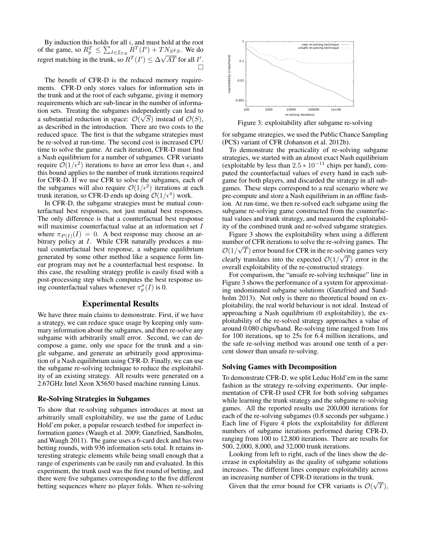By induction this holds for all  $i$ , and must hold at the root of the game, so  $R_p^T \leq \sum_{I \in \mathcal{I}_{TR}} R^T(I') + T N_S \epsilon_S$ . We do regret matching in the trunk, so  $R^T(I') \leq \Delta \sqrt{AT}$  for all  $I'$ .  $\Box$ 

The benefit of CFR-D is the reduced memory requirements. CFR-D only stores values for information sets in the trunk and at the root of each subgame, giving it memory requirements which are sub-linear in the number of information sets. Treating the subgames independently can lead to a substantial reduction in space:  $\mathcal{O}(\sqrt{S})$  instead of  $\mathcal{O}(S)$ , as described in the introduction. There are two costs to the reduced space. The first is that the subgame strategies must be re-solved at run-time. The second cost is increased CPU time to solve the game. At each iteration, CFR-D must find a Nash equilibrium for a number of subgames. CFR variants require  $\mathcal{O}(1/\epsilon^2)$  iterations to have an error less than  $\epsilon$ , and this bound applies to the number of trunk iterations required for CFR-D. If we use CFR to solve the subgames, each of the subgames will also require  $\mathcal{O}(1/\epsilon^2)$  iterations at each trunk iteration, so CFR-D ends up doing  $\mathcal{O}(1/\epsilon^4)$  work.

In CFR-D, the subgame strategies must be mutual counterfactual best responses, not just mutual best responses. The only difference is that a counterfactual best response will maximise counterfactual value at an information set I where  $\pi_{P(I)}(I) = 0$ . A best response may choose an arbitrary policy at I. While CFR naturally produces a mutual counterfactual best response, a subgame equilibrium generated by some other method like a sequence form linear program may not be a counterfactual best response. In this case, the resulting strategy profile is easily fixed with a post-processing step which computes the best response using counterfactual values whenever  $\pi_p^{\sigma}(I)$  is 0.

### Experimental Results

We have three main claims to demonstrate. First, if we have a strategy, we can reduce space usage by keeping only summary information about the subgames, and then re-solve any subgame with arbitrarily small error. Second, we can decompose a game, only use space for the trunk and a single subgame, and generate an arbitrarily good approximation of a Nash equilibrium using CFR-D. Finally, we can use the subgame re-solving technique to reduce the exploitability of an existing strategy. All results were generated on a 2.67GHz Intel Xeon X5650 based machine running Linux.

#### Re-Solving Strategies in Subgames

To show that re-solving subgames introduces at most an arbitrarily small exploitability, we use the game of Leduc Hold'em poker, a popular research testbed for imperfect information games (Waugh et al. 2009; Ganzfried, Sandholm, and Waugh 2011). The game uses a 6-card deck and has two betting rounds, with 936 information sets total. It retains interesting strategic elements while being small enough that a range of experiments can be easily run and evaluated. In this experiment, the trunk used was the first round of betting, and there were five subgames corresponding to the five different betting sequences where no player folds. When re-solving



Figure 3: exploitability after subgame re-solving

for subgame strategies, we used the Public Chance Sampling (PCS) variant of CFR (Johanson et al. 2012b).

To demonstrate the practicality of re-solving subgame strategies, we started with an almost exact Nash equilibrium (exploitable by less than  $2.5 * 10^{-11}$  chips per hand), computed the counterfactual values of every hand in each subgame for both players, and discarded the strategy in all subgames. These steps correspond to a real scenario where we pre-compute and store a Nash equilibrium in an offline fashion. At run-time, we then re-solved each subgame using the subgame re-solving game constructed from the counterfactual values and trunk strategy, and measured the exploitability of the combined trunk and re-solved subgame strategies.

Figure 3 shows the exploitability when using a different number of CFR iterations to solve the re-solving games. The  $\mathcal{O}(1/\sqrt{T})$  error bound for CFR in the re-solving games very clearly translates into the expected  $\mathcal{O}(1/\sqrt{T})$  error in the overall exploitability of the re-constructed strategy.

For comparison, the "unsafe re-solving technique" line in Figure 3 shows the performance of a system for approximating undominated subgame solutions (Ganzfried and Sandholm 2013). Not only is there no theoretical bound on exploitability, the real world behaviour is not ideal. Instead of approaching a Nash equilibrium (0 exploitability), the exploitability of the re-solved strategy approaches a value of around 0.080 chips/hand. Re-solving time ranged from 1ms for 100 iterations, up to 25s for 6.4 million iterations, and the safe re-solving method was around one tenth of a percent slower than unsafe re-solving.

### Solving Games with Decomposition

To demonstrate CFR-D, we split Leduc Hold'em in the same fashion as the strategy re-solving experiments. Our implementation of CFR-D used CFR for both solving subgames while learning the trunk strategy and the subgame re-solving games. All the reported results use 200,000 iterations for each of the re-solving subgames (0.8 seconds per subgame.) Each line of Figure 4 plots the exploitability for different numbers of subgame iterations performed during CFR-D, ranging from 100 to 12,800 iterations. There are results for 500, 2,000, 8,000, and 32,000 trunk iterations.

Looking from left to right, each of the lines show the decrease in exploitability as the quality of subgame solutions increases. The different lines compare exploitability across an increasing number of CFR-D iterations in the trunk. √

Given that the error bound for CFR variants is  $\mathcal{O}(\mathbb{C})$ T),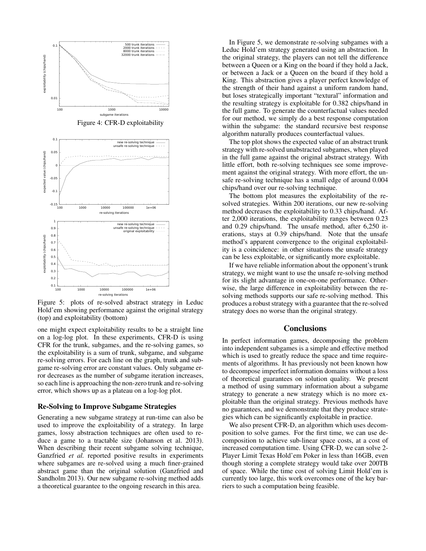

Figure 5: plots of re-solved abstract strategy in Leduc Hold'em showing performance against the original strategy (top) and exploitability (bottom)

one might expect exploitability results to be a straight line on a log-log plot. In these experiments, CFR-D is using CFR for the trunk, subgames, and the re-solving games, so the exploitability is a sum of trunk, subgame, and subgame re-solving errors. For each line on the graph, trunk and subgame re-solving error are constant values. Only subgame error decreases as the number of subgame iteration increases, so each line is approaching the non-zero trunk and re-solving error, which shows up as a plateau on a log-log plot.

#### Re-Solving to Improve Subgame Strategies

Generating a new subgame strategy at run-time can also be used to improve the exploitability of a strategy. In large games, lossy abstraction techniques are often used to reduce a game to a tractable size (Johanson et al. 2013). When describing their recent subgame solving technique, Ganzfried *et al.* reported positive results in experiments where subgames are re-solved using a much finer-grained abstract game than the original solution (Ganzfried and Sandholm 2013). Our new subgame re-solving method adds a theoretical guarantee to the ongoing research in this area.

In Figure 5, we demonstrate re-solving subgames with a Leduc Hold'em strategy generated using an abstraction. In the original strategy, the players can not tell the difference between a Queen or a King on the board if they hold a Jack, or between a Jack or a Queen on the board if they hold a King. This abstraction gives a player perfect knowledge of the strength of their hand against a uniform random hand, but loses strategically important "textural" information and the resulting strategy is exploitable for 0.382 chips/hand in the full game. To generate the counterfactual values needed for our method, we simply do a best response computation within the subgame: the standard recursive best response algorithm naturally produces counterfactual values.

The top plot shows the expected value of an abstract trunk strategy with re-solved unabstracted subgames, when played in the full game against the original abstract strategy. With little effort, both re-solving techniques see some improvement against the original strategy. With more effort, the unsafe re-solving technique has a small edge of around 0.004 chips/hand over our re-solving technique.

The bottom plot measures the exploitability of the resolved strategies. Within 200 iterations, our new re-solving method decreases the exploitability to 0.33 chips/hand. After 2,000 iterations, the exploitability ranges between 0.23 and 0.29 chips/hand. The unsafe method, after 6,250 iterations, stays at 0.39 chips/hand. Note that the unsafe method's apparent convergence to the original exploitability is a coincidence: in other situations the unsafe strategy can be less exploitable, or significantly more exploitable.

If we have reliable information about the opponent's trunk strategy, we might want to use the unsafe re-solving method for its slight advantage in one-on-one performance. Otherwise, the large difference in exploitability between the resolving methods supports our safe re-solving method. This produces a robust strategy with a guarantee that the re-solved strategy does no worse than the original strategy.

# **Conclusions**

In perfect information games, decomposing the problem into independent subgames is a simple and effective method which is used to greatly reduce the space and time requirements of algorithms. It has previously not been known how to decompose imperfect information domains without a loss of theoretical guarantees on solution quality. We present a method of using summary information about a subgame strategy to generate a new strategy which is no more exploitable than the original strategy. Previous methods have no guarantees, and we demonstrate that they produce strategies which can be significantly exploitable in practice.

We also present CFR-D, an algorithm which uses decomposition to solve games. For the first time, we can use decomposition to achieve sub-linear space costs, at a cost of increased computation time. Using CFR-D, we can solve 2- Player Limit Texas Hold'em Poker in less than 16GB, even though storing a complete strategy would take over 200TB of space. While the time cost of solving Limit Hold'em is currently too large, this work overcomes one of the key barriers to such a computation being feasible.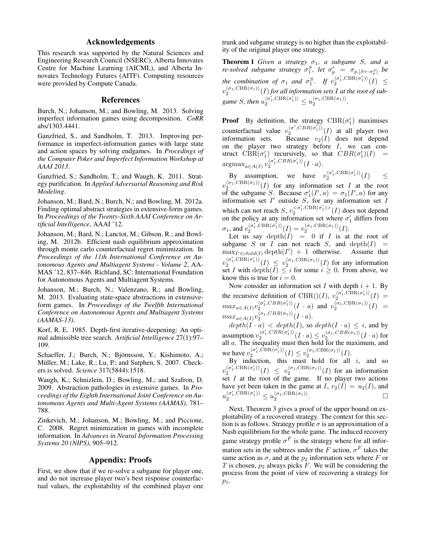# Acknowledgements

This research was supported by the Natural Sciences and Engineering Research Council (NSERC), Alberta Innovates Centre for Machine Learning (AICML), and Alberta Innovates Technology Futures (AITF). Computing resources were provided by Compute Canada.

#### References

Burch, N.; Johanson, M.; and Bowling, M. 2013. Solving imperfect information games using decomposition. *CoRR* abs/1303.4441.

Ganzfried, S., and Sandholm, T. 2013. Improving performance in imperfect-information games with large state and action spaces by solving endgames. In *Procedings of the Computer Poker and Imperfect Information Workshop at AAAI 2013*.

Ganzfried, S.; Sandholm, T.; and Waugh, K. 2011. Strategy purification. In *Applied Adversarial Reasoning and Risk Modeling*.

Johanson, M.; Bard, N.; Burch, N.; and Bowling, M. 2012a. Finding optimal abstract strategies in extensive-form games. In *Proceedings of the Twenty-Sixth AAAI Conference on Artificial Intelligence*, AAAI '12.

Johanson, M.; Bard, N.; Lanctot, M.; Gibson, R.; and Bowling, M. 2012b. Efficient nash equilibrium approximation through monte carlo counterfactual regret minimization. In *Proceedings of the 11th International Conference on Autonomous Agents and Multiagent Systems - Volume 2*, AA-MAS '12, 837–846. Richland, SC: International Foundation for Autonomous Agents and Multiagent Systems.

Johanson, M.; Burch, N.; Valenzano, R.; and Bowling, M. 2013. Evaluating state-space abstractions in extensiveform games. In *Proceedings of the Twelfth International Conference on Autonomous Agents and Multiagent Systems (AAMAS-13)*.

Korf, R. E. 1985. Depth-first iterative-deepening: An optimal admissible tree search. *Artificial Intelligence* 27(1):97– 109.

Schaeffer, J.; Burch, N.; Björnsson, Y.; Kishimoto, A.; Müller, M.; Lake, R.; Lu, P.; and Sutphen, S. 2007. Checkers is solved. *Science* 317(5844):1518.

Waugh, K.; Schnizlein, D.; Bowling, M.; and Szafron, D. 2009. Abstraction pathologies in extensive games. In *Proceedings of the Eighth International Joint Conference on Autonomous Agents and Multi-Agent Systems (AAMAS)*, 781– 788.

Zinkevich, M.; Johanson, M.; Bowling, M.; and Piccione, C. 2008. Regret minimization in games with incomplete information. In *Advances in Neural Information Processing Systems 20 (NIPS)*, 905–912.

# Appendix: Proofs

First, we show that if we re-solve a subgame for player one, and do not increase player two's best response counterfactual values, the exploitability of the combined player one

trunk and subgame strategy is no higher than the exploitability of the original player one strategy.

**Theorem 1** *Given a strategy*  $\sigma_1$ *, a subgame S, and a re-solved subgame strategy*  $\sigma_1^S$ , *let*  $\sigma_p' = \sigma_{p,[S \leftarrow \sigma_p^S]}$  *be the combination of*  $\sigma_1$  *and*  $\sigma_1^S$ *. If*  $v_2^{\langle \sigma_1', \text{CBR}(\sigma_1') \rangle}$  $\frac{\binom{\sigma_1,\text{CDR}(\sigma_1)}{2}}{2}$  (*I*)  $\leq$  $v_{2}^{\langle\sigma_{1}, \mathrm{CBR}(\sigma_{1})\rangle}(I)$  for all information sets  $I$  at the root of sub*game S, then*  $u_2^{\langle \sigma'_1, \text{CBR}(\sigma'_1) \rangle} \leq u_2^{\langle \sigma_1, \text{CBR}(\sigma_1) \rangle}$ .

**Proof** By definition, the strategy  $CBR(\sigma'_1)$  maximises counterfactual value  $v_2^{ \langle \sigma', CBR(\sigma'_1) \rangle}$  $\binom{100}{2}$  (i) at all player two information sets. Because  $v_2(I)$  does not depend on the player two strategy before  $I$ , we can construct  $\text{CBR}(\sigma'_1)$  recursively, so that  $CBR(\sigma'_1)(I)$  =  $\mathop{\mathrm{argmax}}_{a \in A(I)} v_2^{\langle \sigma'_1, CBR(\sigma'_1) \rangle} (I \cdot a).$ 2

By assumption, we have  $v_2^{(\sigma_1', \text{CBR}(\sigma_1'))}$  $\leq 2^{\frac{(\sigma_1,\text{CDR}(\sigma_1))}{2}}(I)$   $\leq$  $v_2^{(\sigma_1, \mathrm{CBR}(\sigma_1))}(I)$  for any information set I at the root of the subgame S. Because  $\sigma'_1(I',a) = \sigma_1(I',a)$  for any of the subgante 5. Because  $\theta_1(T, u) = \theta_1(T, u)$  for any<br>information set I' outside S, for any information set I which can not reach  $S, v_2^{< \sigma'_1, \text{CBR}(\sigma'_1) > 0}$  $\binom{<\sigma_1,\text{CBR}(\sigma_1)>}{2}(I)$  does not depend on the policy at any information set where  $\sigma'_1$  differs from  $\sigma_1$ , and  $v_2^{\langle \sigma_1', \text{CBR}(\sigma_1') \rangle}$  $v_2^{\langle \sigma_1', \text{CBR}(\sigma_1') \rangle} (I) = v_2^{\langle \sigma_1, \text{CBR}(\sigma_1) \rangle} (I).$ 

Let us say  $\text{depth}(I) = 0$  if I is at the root of subgame S or I can not reach S, and depth $(I)$  =  $\max_{I' \in child(I)} \text{depth}(I') + 1$  otherwise. Assume that  $v_2^{\langle \sigma_1^\prime, \text{CBR}(\sigma_1^\prime)\rangle}$  $\frac{\langle \sigma'_1, \text{CBR}(\sigma'_1) \rangle}{2} (I) \leq v_2^{\langle \sigma_1, \text{CBR}(\sigma_1) \rangle} (I)$  for any information set I with  $\text{depth}(I) \leq i$  for some  $i \geq 0$ . From above, we know this is true for  $i = 0$ .

Now consider an information set I with depth  $i + 1$ . By the recursive definition of CBR()(I),  $v_2^{ \langle \sigma_1', \text{CBR}(\sigma_1') \rangle}$  $\frac{\binom{1}{0} \binom{1}{1}}{2}$  =  $max_{a \in A(I)} v_2^{\langle \sigma_1', CBR(\sigma_1') \rangle}$  $\langle \sigma_1' CBR(\sigma_1') \rangle (I \cdot a)$  and  $v_2^{\langle \sigma_1, \text{CBR}(\sigma_1) \rangle} (I) =$  $max_{a \in A(I)} v_2^{\langle \sigma_1, CBR(\sigma_1) \rangle} (I \cdot a).$ 

 $depth(I \cdot a) < depth(I)$ , so  $depth(I \cdot a) \leq i$ , and by assumption  $v_2^{\langle \sigma_1', CBR(\sigma_1') \rangle}$  $\langle \sigma_1' , CBR(\sigma_1') \rangle (I \cdot a) \leq v_2^{\langle \sigma_1 , CBR(\sigma_1) \rangle} (I \cdot a)$  for all a. The inequality must then hold for the maximum, and we have  $v_2^{\langle \sigma'_1, \text{CBR}(\sigma'_1) \rangle}$  $\langle \sigma_1' , \text{CBR}(\sigma_1') \rangle (I) \leq v_2^{\langle \sigma_1 , \text{CBR}(\sigma_1) \rangle} (I).$ 

By induction, this must hold for all  $i$ , and so  $v_2^{\langle \sigma_1^\prime, \text{CBR}(\sigma_1^\prime)\rangle}$  $\frac{\langle \sigma'_1, \text{CBR}(\sigma'_1) \rangle}{2} (I) \leq v_2^{\langle \sigma_1, \text{CBR}(\sigma_1) \rangle} (I)$  for an information set  $I$  at the root of the game. If no player two actions have yet been taken in the game at I,  $v_2(I) = u_2(I)$ , and  $u_2^{\langle \sigma_1', \text{CBR}(\sigma_1') \rangle} \leq u_2^{\langle \sigma_1, \text{CBR}(\sigma_1) \rangle}$ . — Первый профессиональный профессиональный профессиональный профессиональный профессиональный профессиональн<br>В собстановки профессиональный профессиональный профессиональный профессиональный профессиональный профессиона

Next, Theorem 3 gives a proof of the upper bound on exploitability of a recovered strategy. The context for this section is as follows. Strategy profile  $\sigma$  is an approximation of a Nash equilibrium for the whole game. The induced recovery game strategy profile  $\sigma^{\tilde{F}}$  is the strategy where for all information sets in the subtrees under the F action,  $\sigma^{\tilde{F}}$  takes the same action as  $\sigma$ , and at the  $p_2$  information sets where F or T is chosen,  $p_2$  always picks F. We will be considering the process from the point of view of recovering a strategy for  $p_1$ .